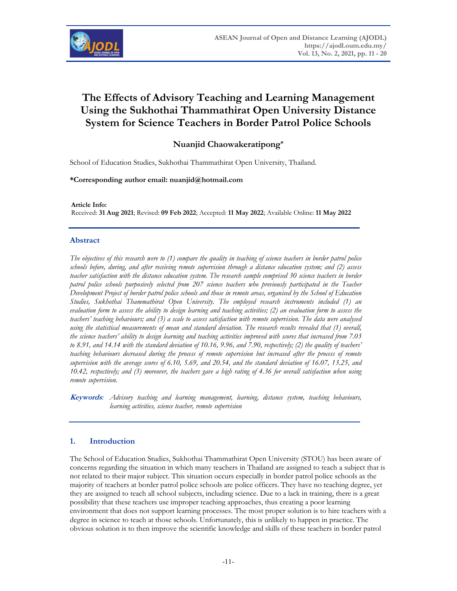

# **The Effects of Advisory Teaching and Learning Management Using the Sukhothai Thammathirat Open University Distance System for Science Teachers in Border Patrol Police Schools**

# **Nuanjid Chaowakeratipong\***

School of Education Studies, Sukhothai Thammathirat Open University, Thailand.

#### **\*Corresponding author email: nuanjid@hotmail.com**

**Article Info:**  Received: **31 Aug 2021**; Revised: **09 Feb 2022**; Accepted: **11 May 2022**; Available Online: **11 May 2022**

## **Abstract**

*The objectives of this research were to (1) compare the quality in teaching of science teachers in border patrol police schools before, during, and after receiving remote supervision through a distance education system; and (2) assess teacher satisfaction with the distance education system. The research sample comprised 30 science teachers in border patrol police schools purposively selected from 207 science teachers who previously participated in the Teacher Development Project of border patrol police schools and those in remote areas, organised by the School of Education Studies, Sukhothai Thammathirat Open University. The employed research instruments included (1) an evaluation form to assess the ability to design learning and teaching activities; (2) an evaluation form to assess the teachers' teaching behaviours; and (3) a scale to assess satisfaction with remote supervision. The data were analysed using the statistical measurements of mean and standard deviation. The research results revealed that (1) overall, the science teachers' ability to design learning and teaching activities improved with scores that increased from 7.03 to 8.91, and 14.14 with the standard deviation of 10.16, 9.96, and 7.90, respectively; (2) the quality of teachers' teaching behaviours decreased during the process of remote supervision but increased after the process of remote supervision with the average scores of 6.10, 5.69, and 20.54, and the standard deviation of 16.07, 13.25, and 10.42, respectively; and (3) moreover, the teachers gave a high rating of 4.36 for overall satisfaction when using remote supervision.* 

**Keywords***: Advisory teaching and learning management, learning, distance system, teaching behaviours, learning activities, science teacher, remote supervision* 

# **1. Introduction**

The School of Education Studies, Sukhothai Thammathirat Open University (STOU) has been aware of concerns regarding the situation in which many teachers in Thailand are assigned to teach a subject that is not related to their major subject. This situation occurs especially in border patrol police schools as the majority of teachers at border patrol police schools are police officers. They have no teaching degree, yet they are assigned to teach all school subjects, including science. Due to a lack in training, there is a great possibility that these teachers use improper teaching approaches, thus creating a poor learning environment that does not support learning processes. The most proper solution is to hire teachers with a degree in science to teach at those schools. Unfortunately, this is unlikely to happen in practice. The obvious solution is to then improve the scientific knowledge and skills of these teachers in border patrol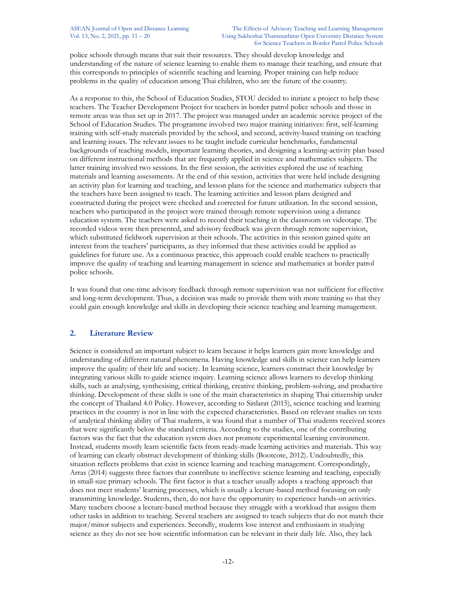police schools through means that suit their resources. They should develop knowledge and understanding of the nature of science learning to enable them to manage their teaching, and ensure that this corresponds to principles of scientific teaching and learning. Proper training can help reduce problems in the quality of education among Thai children, who are the future of the country.

As a response to this, the School of Education Studies, STOU decided to initiate a project to help these teachers. The Teacher Development Project for teachers in border patrol police schools and those in remote areas was thus set up in 2017. The project was managed under an academic service project of the School of Education Studies. The programme involved two major training initiatives: first, self-learning training with self-study materials provided by the school, and second, activity-based training on teaching and learning issues. The relevant issues to be taught include curricular benchmarks, fundamental backgrounds of teaching models, important learning theories, and designing a learning-activity plan based on different instructional methods that are frequently applied in science and mathematics subjects. The latter training involved two sessions. In the first session, the activities explored the use of teaching materials and learning assessments. At the end of this session, activities that were held include designing an activity plan for learning and teaching, and lesson plans for the science and mathematics subjects that the teachers have been assigned to teach. The learning activities and lesson plans designed and constructed during the project were checked and corrected for future utilisation. In the second session, teachers who participated in the project were trained through remote supervision using a distance education system. The teachers were asked to record their teaching in the classroom on videotape. The recorded videos were then presented, and advisory feedback was given through remote supervision, which substituted fieldwork supervision at their schools. The activities in this session gained quite an interest from the teachers' participants, as they informed that these activities could be applied as guidelines for future use. As a continuous practice, this approach could enable teachers to practically improve the quality of teaching and learning management in science and mathematics at border patrol police schools.

It was found that one-time advisory feedback through remote supervision was not sufficient for effective and long-term development. Thus, a decision was made to provide them with more training so that they could gain enough knowledge and skills in developing their science teaching and learning management.

# **2. Literature Review**

Science is considered an important subject to learn because it helps learners gain more knowledge and understanding of different natural phenomena. Having knowledge and skills in science can help learners improve the quality of their life and society. In learning science, learners construct their knowledge by integrating various skills to guide science inquiry. Learning science allows learners to develop thinking skills, such as analysing, synthesising, critical thinking, creative thinking, problem-solving, and productive thinking. Development of these skills is one of the main characteristics in shaping Thai citizenship under the concept of Thailand 4.0 Policy. However, according to Sinlarat (2015), science teaching and learning practices in the country is not in line with the expected characteristics. Based on relevant studies on tests of analytical thinking ability of Thai students, it was found that a number of Thai students received scores that were significantly below the standard criteria. According to the studies, one of the contributing factors was the fact that the education system does not promote experimental learning environment. Instead, students mostly learn scientific facts from ready-made learning activities and materials. This way of learning can clearly obstruct development of thinking skills (Bootcote, 2012). Undoubtedly, this situation reflects problems that exist in science learning and teaching management. Correspondingly, Arras (2014) suggests three factors that contribute to ineffective science learning and teaching, especially in small-size primary schools. The first factor is that a teacher usually adopts a teaching approach that does not meet students' learning processes, which is usually a lecture-based method focusing on only transmitting knowledge. Students, then, do not have the opportunity to experience hands-on activities. Many teachers choose a lecture-based method because they struggle with a workload that assigns them other tasks in addition to teaching. Several teachers are assigned to teach subjects that do not match their major/minor subjects and experiences. Secondly, students lose interest and enthusiasm in studying science as they do not see how scientific information can be relevant in their daily life. Also, they lack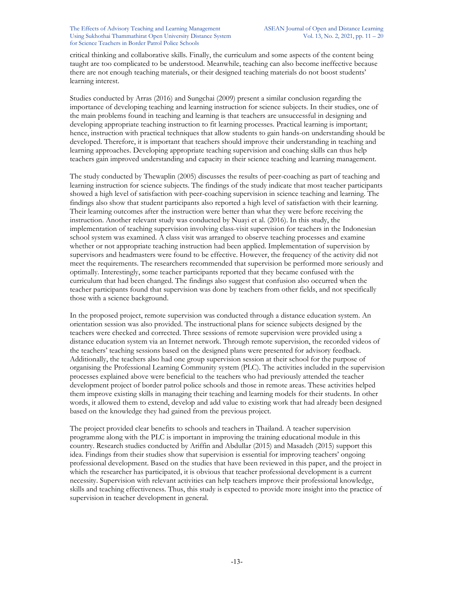critical thinking and collaborative skills. Finally, the curriculum and some aspects of the content being taught are too complicated to be understood. Meanwhile, teaching can also become ineffective because there are not enough teaching materials, or their designed teaching materials do not boost students' learning interest.

Studies conducted by Arras (2016) and Sungchai (2009) present a similar conclusion regarding the importance of developing teaching and learning instruction for science subjects. In their studies, one of the main problems found in teaching and learning is that teachers are unsuccessful in designing and developing appropriate teaching instruction to fit learning processes. Practical learning is important; hence, instruction with practical techniques that allow students to gain hands-on understanding should be developed. Therefore, it is important that teachers should improve their understanding in teaching and learning approaches. Developing appropriate teaching supervision and coaching skills can thus help teachers gain improved understanding and capacity in their science teaching and learning management.

The study conducted by Thewaplin (2005) discusses the results of peer-coaching as part of teaching and learning instruction for science subjects. The findings of the study indicate that most teacher participants showed a high level of satisfaction with peer-coaching supervision in science teaching and learning. The findings also show that student participants also reported a high level of satisfaction with their learning. Their learning outcomes after the instruction were better than what they were before receiving the instruction. Another relevant study was conducted by Nuayi et al. (2016). In this study, the implementation of teaching supervision involving class-visit supervision for teachers in the Indonesian school system was examined. A class visit was arranged to observe teaching processes and examine whether or not appropriate teaching instruction had been applied. Implementation of supervision by supervisors and headmasters were found to be effective. However, the frequency of the activity did not meet the requirements. The researchers recommended that supervision be performed more seriously and optimally. Interestingly, some teacher participants reported that they became confused with the curriculum that had been changed. The findings also suggest that confusion also occurred when the teacher participants found that supervision was done by teachers from other fields, and not specifically those with a science background.

In the proposed project, remote supervision was conducted through a distance education system. An orientation session was also provided. The instructional plans for science subjects designed by the teachers were checked and corrected. Three sessions of remote supervision were provided using a distance education system via an Internet network. Through remote supervision, the recorded videos of the teachers' teaching sessions based on the designed plans were presented for advisory feedback. Additionally, the teachers also had one group supervision session at their school for the purpose of organising the Professional Learning Community system (PLC). The activities included in the supervision processes explained above were beneficial to the teachers who had previously attended the teacher development project of border patrol police schools and those in remote areas. These activities helped them improve existing skills in managing their teaching and learning models for their students. In other words, it allowed them to extend, develop and add value to existing work that had already been designed based on the knowledge they had gained from the previous project.

The project provided clear benefits to schools and teachers in Thailand. A teacher supervision programme along with the PLC is important in improving the training educational module in this country. Research studies conducted by Ariffin and Abdullar (2015) and Masadeh (2015) support this idea. Findings from their studies show that supervision is essential for improving teachers' ongoing professional development. Based on the studies that have been reviewed in this paper, and the project in which the researcher has participated, it is obvious that teacher professional development is a current necessity. Supervision with relevant activities can help teachers improve their professional knowledge, skills and teaching effectiveness. Thus, this study is expected to provide more insight into the practice of supervision in teacher development in general.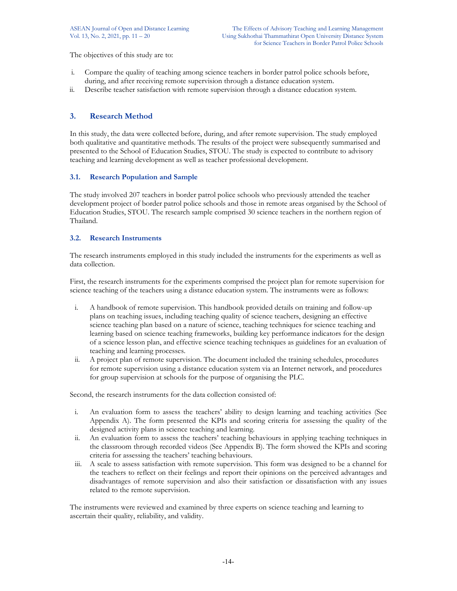The objectives of this study are to:

- i. Compare the quality of teaching among science teachers in border patrol police schools before, during, and after receiving remote supervision through a distance education system.
- ii. Describe teacher satisfaction with remote supervision through a distance education system.

# **3. Research Method**

In this study, the data were collected before, during, and after remote supervision. The study employed both qualitative and quantitative methods. The results of the project were subsequently summarised and presented to the School of Education Studies, STOU. The study is expected to contribute to advisory teaching and learning development as well as teacher professional development.

## **3.1. Research Population and Sample**

The study involved 207 teachers in border patrol police schools who previously attended the teacher development project of border patrol police schools and those in remote areas organised by the School of Education Studies, STOU. The research sample comprised 30 science teachers in the northern region of Thailand.

## **3.2. Research Instruments**

The research instruments employed in this study included the instruments for the experiments as well as data collection.

First, the research instruments for the experiments comprised the project plan for remote supervision for science teaching of the teachers using a distance education system. The instruments were as follows:

- i. A handbook of remote supervision. This handbook provided details on training and follow-up plans on teaching issues, including teaching quality of science teachers, designing an effective science teaching plan based on a nature of science, teaching techniques for science teaching and learning based on science teaching frameworks, building key performance indicators for the design of a science lesson plan, and effective science teaching techniques as guidelines for an evaluation of teaching and learning processes.
- ii. A project plan of remote supervision. The document included the training schedules, procedures for remote supervision using a distance education system via an Internet network, and procedures for group supervision at schools for the purpose of organising the PLC.

Second, the research instruments for the data collection consisted of:

- i. An evaluation form to assess the teachers' ability to design learning and teaching activities (See Appendix A). The form presented the KPIs and scoring criteria for assessing the quality of the designed activity plans in science teaching and learning.
- ii. An evaluation form to assess the teachers' teaching behaviours in applying teaching techniques in the classroom through recorded videos (See Appendix B). The form showed the KPIs and scoring criteria for assessing the teachers' teaching behaviours.
- iii. A scale to assess satisfaction with remote supervision. This form was designed to be a channel for the teachers to reflect on their feelings and report their opinions on the perceived advantages and disadvantages of remote supervision and also their satisfaction or dissatisfaction with any issues related to the remote supervision.

The instruments were reviewed and examined by three experts on science teaching and learning to ascertain their quality, reliability, and validity.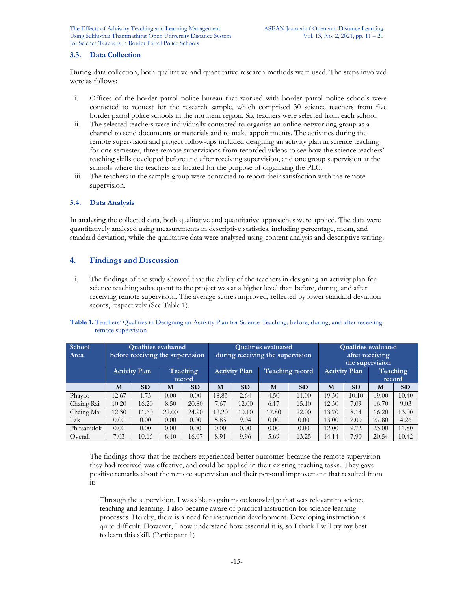The Effects of Advisory Teaching and Learning Management ASEAN Journal of Open and Distance Learning Using Sukhothai Thammathirat Open University Distance System Vol. 13, No. 2, 2021, pp. 11 – 20 for Science Teachers in Border Patrol Police Schools

## **3.3. Data Collection**

During data collection, both qualitative and quantitative research methods were used. The steps involved were as follows:

- i. Offices of the border patrol police bureau that worked with border patrol police schools were contacted to request for the research sample, which comprised 30 science teachers from five border patrol police schools in the northern region. Six teachers were selected from each school.
- ii. The selected teachers were individually contacted to organise an online networking group as a channel to send documents or materials and to make appointments. The activities during the remote supervision and project follow-ups included designing an activity plan in science teaching for one semester, three remote supervisions from recorded videos to see how the science teachers' teaching skills developed before and after receiving supervision, and one group supervision at the schools where the teachers are located for the purpose of organising the PLC.
- iii. The teachers in the sample group were contacted to report their satisfaction with the remote supervision.

#### **3.4. Data Analysis**

In analysing the collected data, both qualitative and quantitative approaches were applied. The data were quantitatively analysed using measurements in descriptive statistics, including percentage, mean, and standard deviation, while the qualitative data were analysed using content analysis and descriptive writing.

## **4. Findings and Discussion**

i. The findings of the study showed that the ability of the teachers in designing an activity plan for science teaching subsequent to the project was at a higher level than before, during, and after receiving remote supervision. The average scores improved, reflected by lower standard deviation scores, respectively (See Table 1).

| <b>School</b><br>Area | <b>Qualities evaluated</b><br>before receiving the supervision |                      |       | <b>Qualities evaluated</b><br>during receiving the supervision |       |                      |       | <b>Qualities evaluated</b><br>after receiving<br>the supervision |       |           |       |                    |
|-----------------------|----------------------------------------------------------------|----------------------|-------|----------------------------------------------------------------|-------|----------------------|-------|------------------------------------------------------------------|-------|-----------|-------|--------------------|
|                       |                                                                | <b>Activity Plan</b> |       | Teaching<br>record                                             |       | <b>Activity Plan</b> |       | <b>Teaching record</b><br><b>Activity Plan</b>                   |       |           |       | Teaching<br>record |
|                       | M                                                              | <b>SD</b>            | M     | <b>SD</b>                                                      | M     | <b>SD</b>            | M     | <b>SD</b>                                                        | M     | <b>SD</b> | M     | <b>SD</b>          |
| Phayao                | 12.67                                                          | 1.75                 | 0.00  | 0.00                                                           | 18.83 | 2.64                 | 4.50  | 11.00                                                            | 19.50 | 10.10     | 19.00 | 10.40              |
| Chaing Rai            | 10.20                                                          | 16.20                | 8.50  | 20.80                                                          | 7.67  | 12.00                | 6.17  | 15.10                                                            | 12.50 | 7.09      | 16.70 | 9.03               |
| Chaing Mai            | 12.30                                                          | 11.60                | 22.00 | 24.90                                                          | 12.20 | 10.10                | 17.80 | 22.00                                                            | 13.70 | 8.14      | 16.20 | 13.00              |
| Tak                   | 0.00                                                           | 0.00                 | 0.00  | 0.00                                                           | 5.83  | 9.04                 | 0.00  | 0.00                                                             | 13.00 | 2.00      | 27.80 | 4.26               |
| Phitsanulok           | 0.00                                                           | 0.00                 | 0.00  | 0.00                                                           | 0.00  | 0.00                 | 0.00  | 0.00                                                             | 12.00 | 9.72      | 23.00 | 11.80              |
| Overall               | 7.03                                                           | 10.16                | 6.10  | 16.07                                                          | 8.91  | 9.96                 | 5.69  | 13.25                                                            | 14.14 | 7.90      | 20.54 | 10.42              |

**Table 1.** Teachers' Qualities in Designing an Activity Plan for Science Teaching, before, during, and after receiving remote supervision

The findings show that the teachers experienced better outcomes because the remote supervision they had received was effective, and could be applied in their existing teaching tasks. They gave positive remarks about the remote supervision and their personal improvement that resulted from it:

Through the supervision, I was able to gain more knowledge that was relevant to science teaching and learning. I also became aware of practical instruction for science learning processes. Hereby, there is a need for instruction development. Developing instruction is quite difficult. However, I now understand how essential it is, so I think I will try my best to learn this skill. (Participant 1)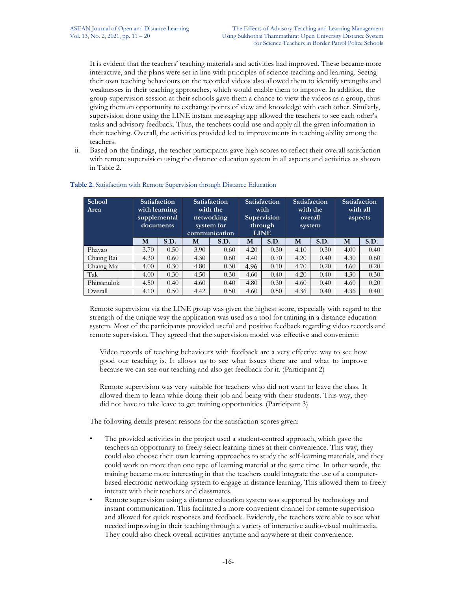It is evident that the teachers' teaching materials and activities had improved. These became more interactive, and the plans were set in line with principles of science teaching and learning. Seeing their own teaching behaviours on the recorded videos also allowed them to identify strengths and weaknesses in their teaching approaches, which would enable them to improve. In addition, the group supervision session at their schools gave them a chance to view the videos as a group, thus giving them an opportunity to exchange points of view and knowledge with each other. Similarly, supervision done using the LINE instant messaging app allowed the teachers to see each other's tasks and advisory feedback. Thus, the teachers could use and apply all the given information in their teaching. Overall, the activities provided led to improvements in teaching ability among the teachers.

ii. Based on the findings, the teacher participants gave high scores to reflect their overall satisfaction with remote supervision using the distance education system in all aspects and activities as shown in Table 2.

| School<br>Area | documents | <b>Satisfaction</b><br>with learning<br>supplemental |      | <b>Satisfaction</b><br>with the<br>networking<br>system for<br>communication |      | <b>Satisfaction</b><br>with<br>Supervision<br>through<br><b>LINE</b> | system | Satisfaction<br>with the<br>overall |      | <b>Satisfaction</b><br>with all<br>aspects |
|----------------|-----------|------------------------------------------------------|------|------------------------------------------------------------------------------|------|----------------------------------------------------------------------|--------|-------------------------------------|------|--------------------------------------------|
|                | M         | S.D.                                                 | M    | S.D.                                                                         | M    | S.D.                                                                 | M      | S.D.                                | M    | S.D.                                       |
| Phayao         | 3.70      | 0.50                                                 | 3.90 | 0.60                                                                         | 4.20 | 0.30                                                                 | 4.10   | 0.30                                | 4.00 | 0.40                                       |
| Chaing Rai     | 4.30      | 0.60                                                 | 4.30 | 0.60                                                                         | 4.40 | 0.70                                                                 | 4.20   | 0.40                                | 4.30 | 0.60                                       |
| Chaing Mai     | 4.00      | 0.30                                                 | 4.80 | 0.30                                                                         | 4.96 | 0.10                                                                 | 4.70   | 0.20                                | 4.60 | 0.20                                       |
| Tak            | 4.00      | 0.30                                                 | 4.50 | 0.30                                                                         | 4.60 | 0.40                                                                 | 4.20   | 0.40                                | 4.30 | 0.30                                       |
| Phitsanulok    | 4.50      | 0.40                                                 | 4.60 | 0.40                                                                         | 4.80 | 0.30                                                                 | 4.60   | 0.40                                | 4.60 | 0.20                                       |
| Overall        | 4.10      | 0.50                                                 | 4.42 | 0.50                                                                         | 4.60 | 0.50                                                                 | 4.36   | 0.40                                | 4.36 | 0.40                                       |

## **Table 2.** Satisfaction with Remote Supervision through Distance Education

Remote supervision via the LINE group was given the highest score, especially with regard to the strength of the unique way the application was used as a tool for training in a distance education system. Most of the participants provided useful and positive feedback regarding video records and remote supervision. They agreed that the supervision model was effective and convenient:

Video records of teaching behaviours with feedback are a very effective way to see how good our teaching is. It allows us to see what issues there are and what to improve because we can see our teaching and also get feedback for it. (Participant 2)

Remote supervision was very suitable for teachers who did not want to leave the class. It allowed them to learn while doing their job and being with their students. This way, they did not have to take leave to get training opportunities. (Participant 3)

The following details present reasons for the satisfaction scores given:

- The provided activities in the project used a student-centred approach, which gave the teachers an opportunity to freely select learning times at their convenience. This way, they could also choose their own learning approaches to study the self-learning materials, and they could work on more than one type of learning material at the same time. In other words, the training became more interesting in that the teachers could integrate the use of a computerbased electronic networking system to engage in distance learning. This allowed them to freely interact with their teachers and classmates.
- Remote supervision using a distance education system was supported by technology and instant communication. This facilitated a more convenient channel for remote supervision and allowed for quick responses and feedback. Evidently, the teachers were able to see what needed improving in their teaching through a variety of interactive audio-visual multimedia. They could also check overall activities anytime and anywhere at their convenience.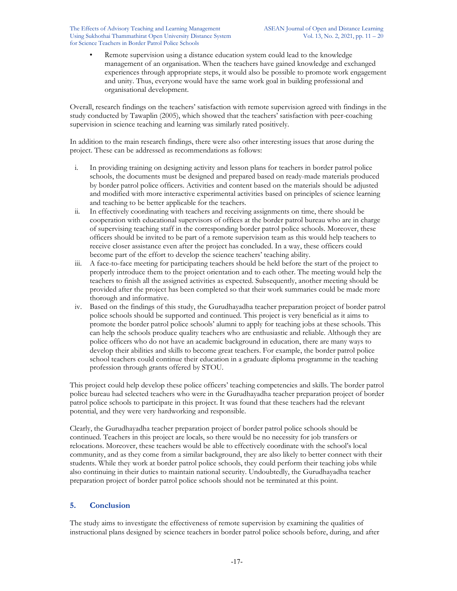The Effects of Advisory Teaching and Learning Management ASEAN Journal of Open and Distance Learning Using Sukhothai Thammathirat Open University Distance System Vol. 13, No. 2, 2021, pp. 11 – 20 for Science Teachers in Border Patrol Police Schools

• Remote supervision using a distance education system could lead to the knowledge management of an organisation. When the teachers have gained knowledge and exchanged experiences through appropriate steps, it would also be possible to promote work engagement and unity. Thus, everyone would have the same work goal in building professional and organisational development.

Overall, research findings on the teachers' satisfaction with remote supervision agreed with findings in the study conducted by Tawaplin (2005), which showed that the teachers' satisfaction with peer-coaching supervision in science teaching and learning was similarly rated positively.

In addition to the main research findings, there were also other interesting issues that arose during the project. These can be addressed as recommendations as follows:

- i. In providing training on designing activity and lesson plans for teachers in border patrol police schools, the documents must be designed and prepared based on ready-made materials produced by border patrol police officers. Activities and content based on the materials should be adjusted and modified with more interactive experimental activities based on principles of science learning and teaching to be better applicable for the teachers.
- ii. In effectively coordinating with teachers and receiving assignments on time, there should be cooperation with educational supervisors of offices at the border patrol bureau who are in charge of supervising teaching staff in the corresponding border patrol police schools. Moreover, these officers should be invited to be part of a remote supervision team as this would help teachers to receive closer assistance even after the project has concluded. In a way, these officers could become part of the effort to develop the science teachers' teaching ability.
- iii. A face-to-face meeting for participating teachers should be held before the start of the project to properly introduce them to the project orientation and to each other. The meeting would help the teachers to finish all the assigned activities as expected. Subsequently, another meeting should be provided after the project has been completed so that their work summaries could be made more thorough and informative.
- iv. Based on the findings of this study, the Gurudhayadha teacher preparation project of border patrol police schools should be supported and continued. This project is very beneficial as it aims to promote the border patrol police schools' alumni to apply for teaching jobs at these schools. This can help the schools produce quality teachers who are enthusiastic and reliable. Although they are police officers who do not have an academic background in education, there are many ways to develop their abilities and skills to become great teachers. For example, the border patrol police school teachers could continue their education in a graduate diploma programme in the teaching profession through grants offered by STOU.

This project could help develop these police officers' teaching competencies and skills. The border patrol police bureau had selected teachers who were in the Gurudhayadha teacher preparation project of border patrol police schools to participate in this project. It was found that these teachers had the relevant potential, and they were very hardworking and responsible.

Clearly, the Gurudhayadha teacher preparation project of border patrol police schools should be continued. Teachers in this project are locals, so there would be no necessity for job transfers or relocations. Moreover, these teachers would be able to effectively coordinate with the school's local community, and as they come from a similar background, they are also likely to better connect with their students. While they work at border patrol police schools, they could perform their teaching jobs while also continuing in their duties to maintain national security. Undoubtedly, the Gurudhayadha teacher preparation project of border patrol police schools should not be terminated at this point.

# **5. Conclusion**

The study aims to investigate the effectiveness of remote supervision by examining the qualities of instructional plans designed by science teachers in border patrol police schools before, during, and after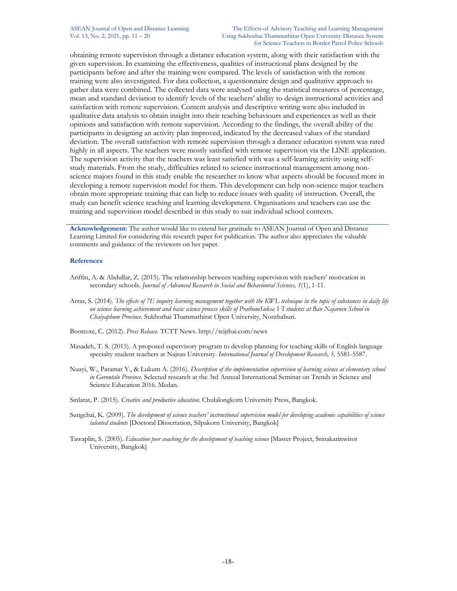#### ASEAN Journal of Open and Distance Learning The Effects of Advisory Teaching and Learning Management Vol. 13, No. 2, 2021, pp. 11 – 20 Using Sukhothai Thammathirat Open University Distance System for Science Teachers in Border Patrol Police Schools

obtaining remote supervision through a distance education system, along with their satisfaction with the given supervision. In examining the effectiveness, qualities of instructional plans designed by the participants before and after the training were compared. The levels of satisfaction with the remote training were also investigated. For data collection, a questionnaire design and qualitative approach to gather data were combined. The collected data were analysed using the statistical measures of percentage, mean and standard deviation to identify levels of the teachers' ability to design instructional activities and satisfaction with remote supervision. Content analysis and descriptive writing were also included in qualitative data analysis to obtain insight into their teaching behaviours and experiences as well as their opinions and satisfaction with remote supervision. According to the findings, the overall ability of the participants in designing an activity plan improved, indicated by the decreased values of the standard deviation. The overall satisfaction with remote supervision through a distance education system was rated highly in all aspects. The teachers were mostly satisfied with remote supervision via the LINE application. The supervision activity that the teachers was least satisfied with was a self-learning activity using selfstudy materials. From the study, difficulties related to science instructional management among nonscience majors found in this study enable the researcher to know what aspects should be focused more in developing a remote supervision model for them. This development can help non-science major teachers obtain more appropriate training that can help to reduce issues with quality of instruction. Overall, the study can benefit science teaching and learning development. Organisations and teachers can use the training and supervision model described in this study to suit individual school contexts.

**Acknowledgement:** The author would like to extend her gratitude to ASEAN Journal of Open and Distance Learning Limited for considering this research paper for publication. The author also appreciates the valuable comments and guidance of the reviewers on her paper.

#### **References**

- Ariffin, A. & Abdullar, Z. (2015). The relationship between teaching supervision with teachers' motivation in secondary schools. *Journal of Advanced Research in Social and Behavioural Sciences, 1*(1), 1-11.
- Arras, S. (2014). *The effects of 7E inquiry learning management together with the KWL technique in the topic of substances in daily life on science learning achievement and basic science process skills of PrathomSuksa VI students at Ban Najaroen School in Chaiyaphum Province.* Sukhothai Thammathirat Open University, Nonthaburi.
- Bootcote, C. (2012). *Press Release.* TCTT News. http://tcijthai.com/news
- Masadeh, T. S. (2015). A proposed supervisory program to develop planning for teaching skills of English language specialty student teachers at Najran University. *International Journal of Development Research, 5,* 5581-5587.
- Nuayi, W., Paramat Y., & Lukum A. (2016). *Description of the implementation supervision of learning science at elementary school in Gorontalo Province*. Selected research at the 3rd Annual International Seminar on Trends in Science and Science Education 2016. Medan.
- Sinlarat, P. (2015). *Creative and productive education*. Chulalongkorn University Press, Bangkok.
- Sungchai, K. (2009). *The development of science teachers' instructional supervision model for developing academic capabilities of science talented students* [Doctoral Dissertation, Silpakorn University, Bangkok]
- Tawaplin, S. (2005). *Education peer coaching for the development of teaching science* [Master Project, Srinakarinwirot University, Bangkok]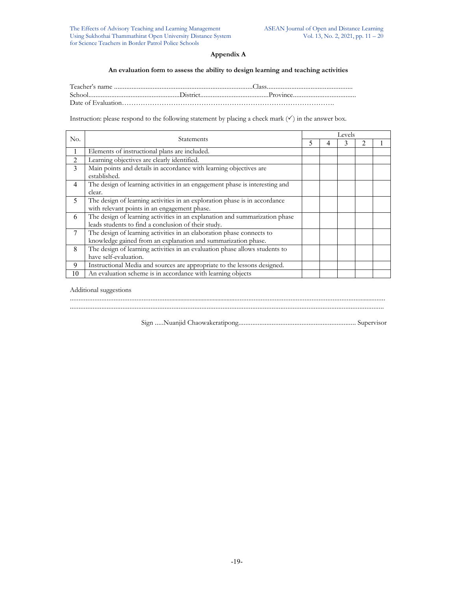## **Appendix A**

#### **An evaluation form to assess the ability to design learning and teaching activities**

Instruction: please respond to the following statement by placing a check mark  $(\checkmark)$  in the answer box.

| No. | <b>Statements</b>                                                                                                                      |   | Levels |  |  |  |  |  |
|-----|----------------------------------------------------------------------------------------------------------------------------------------|---|--------|--|--|--|--|--|
|     |                                                                                                                                        | ጎ | 4      |  |  |  |  |  |
|     | Elements of instructional plans are included.                                                                                          |   |        |  |  |  |  |  |
| 2   | Learning objectives are clearly identified.                                                                                            |   |        |  |  |  |  |  |
| 3   | Main points and details in accordance with learning objectives are<br>established.                                                     |   |        |  |  |  |  |  |
| 4   | The design of learning activities in an engagement phase is interesting and<br>clear.                                                  |   |        |  |  |  |  |  |
| 5   | The design of learning activities in an exploration phase is in accordance<br>with relevant points in an engagement phase.             |   |        |  |  |  |  |  |
| 6   | The design of learning activities in an explanation and summarization phase<br>leads students to find a conclusion of their study.     |   |        |  |  |  |  |  |
|     | The design of learning activities in an elaboration phase connects to<br>knowledge gained from an explanation and summarization phase. |   |        |  |  |  |  |  |
| 8   | The design of learning activities in an evaluation phase allows students to<br>have self-evaluation.                                   |   |        |  |  |  |  |  |
| 9   | Instructional Media and sources are appropriate to the lessons designed.                                                               |   |        |  |  |  |  |  |
| 10  | An evaluation scheme is in accordance with learning objects                                                                            |   |        |  |  |  |  |  |

#### Additional suggestions

Sign .....Nuanjid Chaowakeratipong................................................................... Supervisor